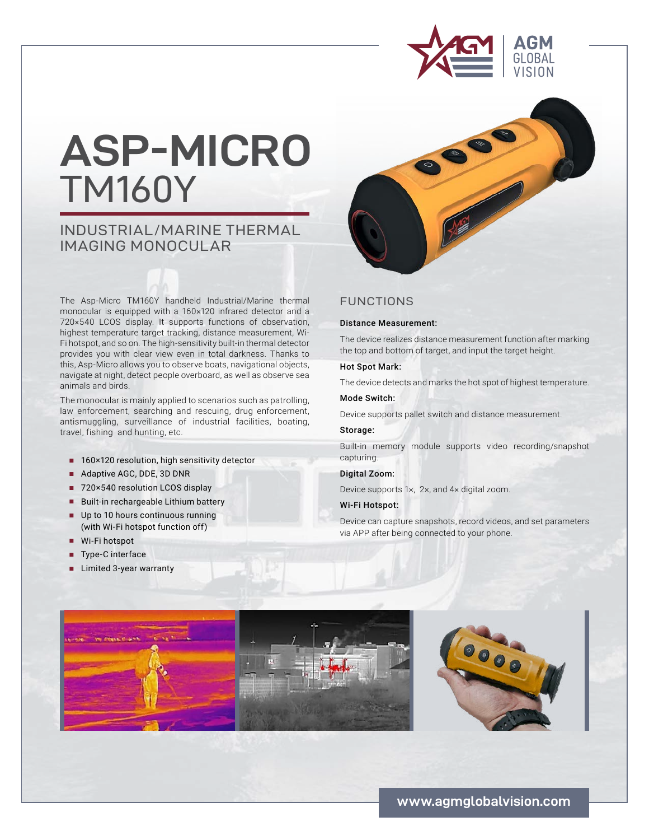

# **ASP-MICRO**  TM160Y

# INDUSTRIAL/MARINE THERMAL IMAGING MONOCULAR

The Asp-Micro TM160Y handheld Industrial/Marine thermal monocular is equipped with a 160×120 infrared detector and a 720×540 LCOS display. It supports functions of observation, highest temperature target tracking, distance measurement, Wi-Fi hotspot, and so on. The high-sensitivity built-in thermal detector provides you with clear view even in total darkness. Thanks to this, Asp-Micro allows you to observe boats, navigational objects, navigate at night, detect people overboard, as well as observe sea animals and birds.

The monocular is mainly applied to scenarios such as patrolling, law enforcement, searching and rescuing, drug enforcement, antismuggling, surveillance of industrial facilities, boating, travel, fishing and hunting, etc.

- 160×120 resolution, high sensitivity detector
- Adaptive AGC, DDE, 3D DNR
- 720×540 resolution LCOS display
- Built-in rechargeable Lithium battery
- **■** Up to 10 hours continuous running (with Wi-Fi hotspot function off)
- **■** Wi-Fi hotspot
- Type-C interface
- **■** Limited 3-year warranty

## FUNCTIONS

#### Distance Measurement:

The device realizes distance measurement function after marking the top and bottom of target, and input the target height.

### Hot Spot Mark:

The device detects and marks the hot spot of highest temperature.

#### Mode Switch:

Device supports pallet switch and distance measurement.

#### Storage:

Built-in memory module supports video recording/snapshot capturing.

## Digital Zoom:

Device supports 1×, 2×, and 4× digital zoom.

#### Wi-Fi Hotspot:

Device can capture snapshots, record videos, and set parameters via APP after being connected to your phone.